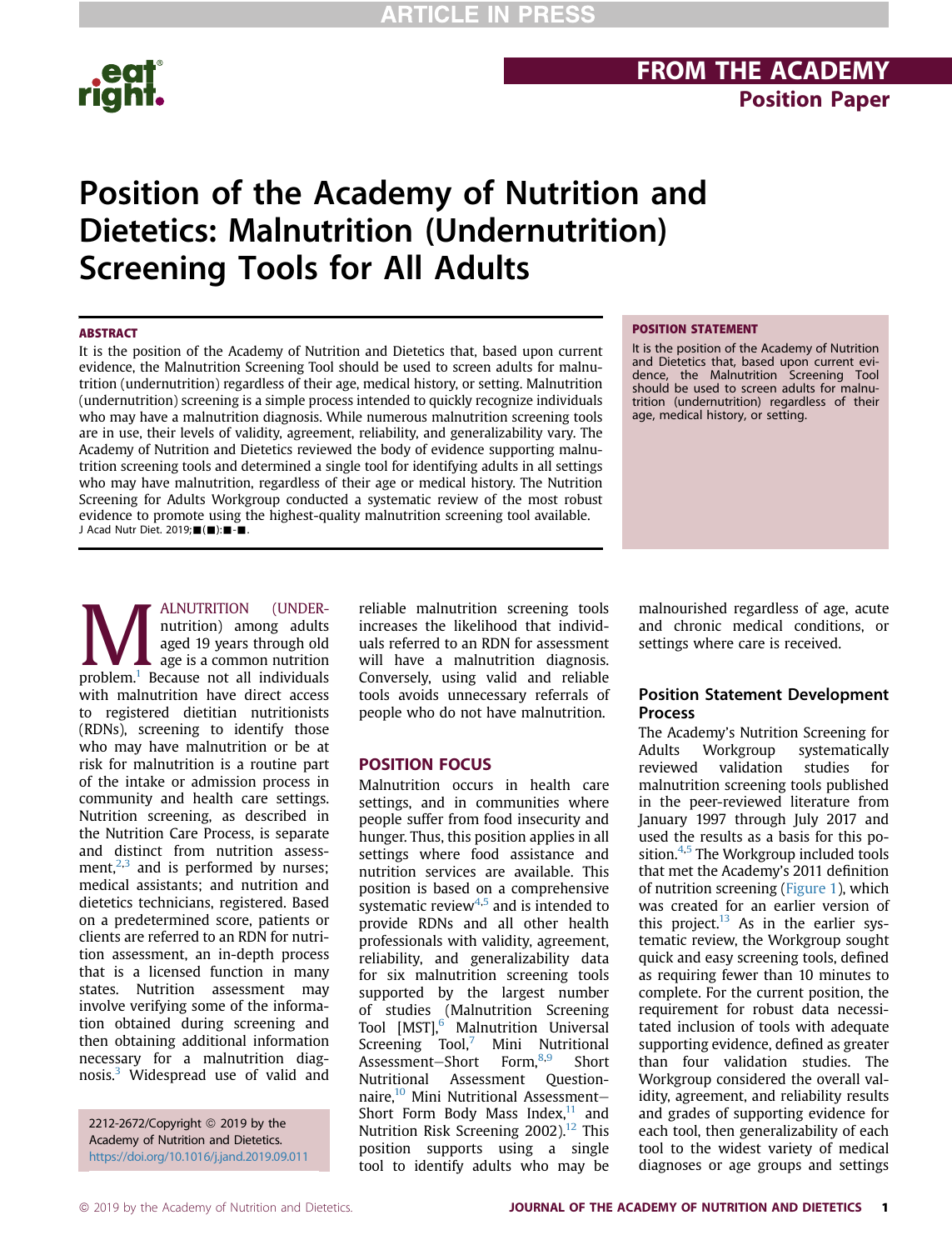

## **FROM THE ACADEMY**<br>Position Paper Position Paper

## Position of the Academy of Nutrition and Dietetics: Malnutrition (Undernutrition) Screening Tools for All Adults

### **ARSTRACT**

It is the position of the Academy of Nutrition and Dietetics that, based upon current evidence, the Malnutrition Screening Tool should be used to screen adults for malnutrition (undernutrition) regardless of their age, medical history, or setting. Malnutrition (undernutrition) screening is a simple process intended to quickly recognize individuals who may have a malnutrition diagnosis. While numerous malnutrition screening tools are in use, their levels of validity, agreement, reliability, and generalizability vary. The Academy of Nutrition and Dietetics reviewed the body of evidence supporting malnutrition screening tools and determined a single tool for identifying adults in all settings who may have malnutrition, regardless of their age or medical history. The Nutrition Screening for Adults Workgroup conducted a systematic review of the most robust evidence to promote using the highest-quality malnutrition screening tool available. J Acad Nutr Diet. 2019; $\blacksquare(\blacksquare)$ : $\blacksquare \cdot \blacksquare$ .

### POSITION STATEMENT

It is the position of the Academy of Nutrition and Dietetics that, based upon current evi-dence, the Malnutrition Screening Tool should be used to screen adults for malnutrition (undernutrition) regardless of their age, medical history, or setting.

**MALNUTRITION** (UNDER-<br>
nutrition) among adults<br>
aged 19 years through old<br>
problem.<sup>1</sup> Because not all individuals nutrition) among adults aged 19 years through old age is a common nutrition with malnutrition have direct access to registered dietitian nutritionists (RDNs), screening to identify those who may have malnutrition or be at risk for malnutrition is a routine part of the intake or admission process in community and health care settings. Nutrition screening, as described in the Nutrition Care Process, is separate and distinct from nutrition assessment, $2,3$  and is performed by nurses; medical assistants; and nutrition and dietetics technicians, registered. Based on a predetermined score, patients or clients are referred to an RDN for nutrition assessment, an in-depth process that is a licensed function in many states. Nutrition assessment may involve verifying some of the information obtained during screening and then obtaining additional information necessary for a malnutrition diagnosis.3 Widespread use of valid and

2212-2672/Copyright © 2019 by the Academy of Nutrition and Dietetics. https://doi.org/10.1016/j.jand.2019.09.011 reliable malnutrition screening tools increases the likelihood that individuals referred to an RDN for assessment will have a malnutrition diagnosis. Conversely, using valid and reliable tools avoids unnecessary referrals of people who do not have malnutrition.

### **POSITION FOCUS**

POSITION FOCUS Malnutrition occurs in health care settings, and in communities where people suffer from food insecurity and hunger. Thus, this position applies in all settings where food assistance and nutrition services are available. This position is based on a comprehensive systematic review $4.5$  and is intended to provide RDNs and all other health professionals with validity, agreement, reliability, and generalizability data for six malnutrition screening tools supported by the largest number of studies (Malnutrition Screening Tool [MST],<sup>6</sup> Malnutrition Universal Screening Tool,<sup>'</sup> Mini Nutritional Assessment-Short Form,<sup>8,9</sup> Short Nutritional Assessment Questionnaire,<sup>10</sup> Mini Nutritional Assessment-Short Form Body Mass Index, $^{11}$  and Nutrition Risk Screening 2002).<sup>12</sup> This position supports using a single tool to identify adults who may be

malnourished regardless of age, acute and chronic medical conditions, or settings where care is received.

### Position Statement Development **Process**

The Academy's Nutrition Screening for Adults Workgroup systematically reviewed validation studies for malnutrition screening tools published in the peer-reviewed literature from January 1997 through July 2017 and used the results as a basis for this position. $4.5$  The Workgroup included tools that met the Academy's 2011 definition of nutrition screening (Figure 1), which was created for an earlier version of this project. $^{13}$  As in the earlier systematic review, the Workgroup sought quick and easy screening tools, defined as requiring fewer than 10 minutes to complete. For the current position, the requirement for robust data necessitated inclusion of tools with adequate supporting evidence, defined as greater than four validation studies. The Workgroup considered the overall validity, agreement, and reliability results and grades of supporting evidence for each tool, then generalizability of each tool to the widest variety of medical diagnoses or age groups and settings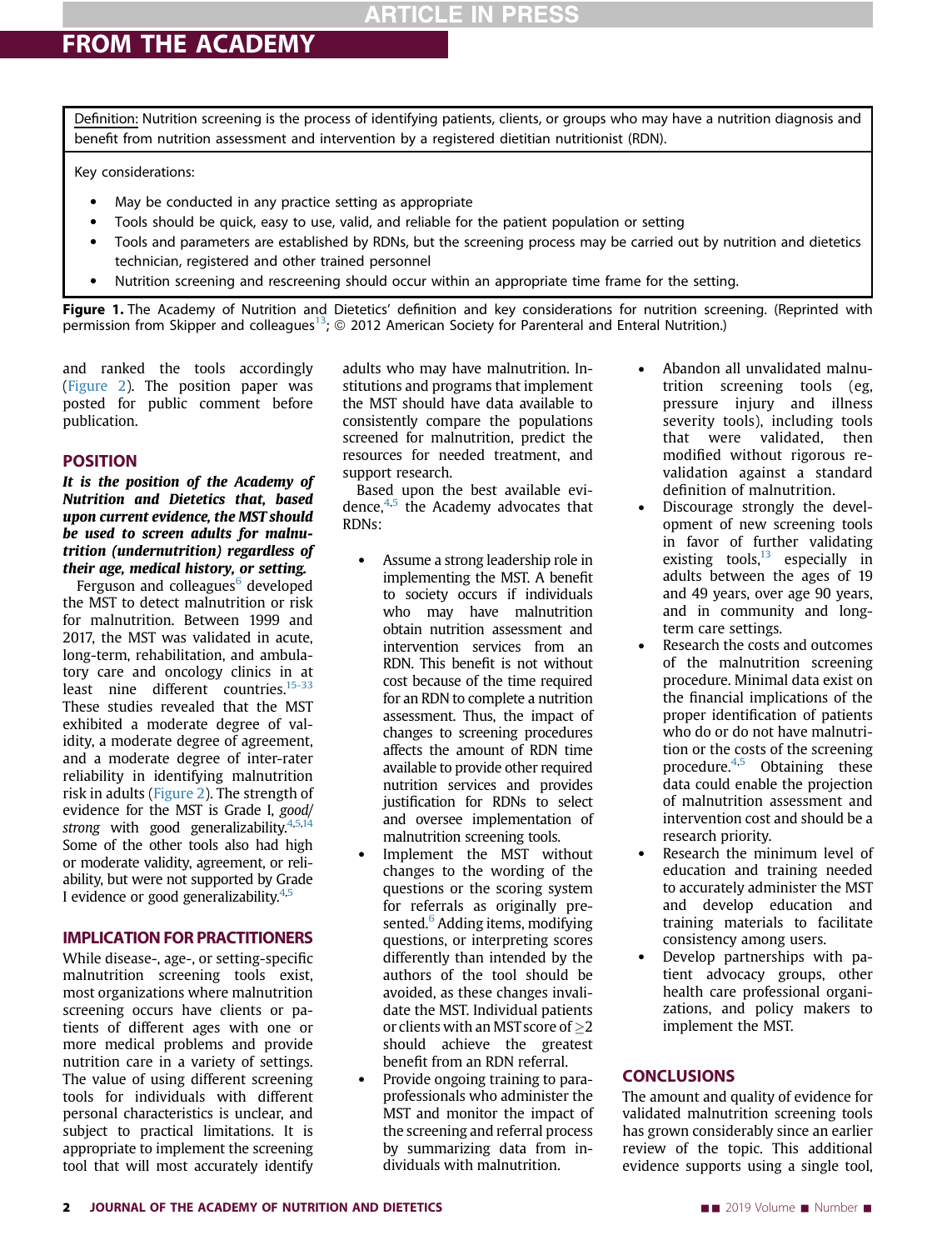### **ARTICLE IN PRESS**

Definition: Nutrition screening is the process of identifying patients, clients, or groups who may have a nutrition diagnosis and benefit from nutrition assessment and intervention by a registered dietitian nutritionist (RDN).

Key considerations:

- May be conducted in any practice setting as appropriate
- Tools should be quick, easy to use, valid, and reliable for the patient population or setting
- Tools and parameters are established by RDNs, but the screening process may be carried out by nutrition and dietetics technician, registered and other trained personnel
- Nutrition screening and rescreening should occur within an appropriate time frame for the setting.

Figure 1. The Academy of Nutrition and Dietetics' definition and key considerations for nutrition screening. (Reprinted with permission from Skipper and colleagues<sup>13</sup>;  $\odot$  2012 American Society for Parenteral and Enteral Nutrition.)

and ranked the tools accordingly (Figure 2). The position paper was posted for public comment before publication.

.<br>It is the position of the Academy of Nutrition and Dietetics that, based upon current evidence, the MST should be used to screen adults for malnutrition (undernutrition) regardless of their age, medical history, or setting.

Ferguson and colleagues<sup>6</sup> developed the MST to detect malnutrition or risk for malnutrition. Between 1999 and 2017, the MST was validated in acute, long-term, rehabilitation, and ambulatory care and oncology clinics in at least nine different countries. $15-33$ These studies revealed that the MST exhibited a moderate degree of validity, a moderate degree of agreement, and a moderate degree of inter-rater reliability in identifying malnutrition risk in adults (Figure 2). The strength of evidence for the MST is Grade I, good/ strong with good generalizability. $4,5,14$ Some of the other tools also had high or moderate validity, agreement, or reliability, but were not supported by Grade I evidence or good generalizability.<sup>4,5</sup>

while disease-, age-, or setting-specific malnutrition screening tools exist, most organizations where malnutrition screening occurs have clients or patients of different ages with one or more medical problems and provide nutrition care in a variety of settings. The value of using different screening tools for individuals with different personal characteristics is unclear, and subject to practical limitations. It is appropriate to implement the screening tool that will most accurately identify

adults who may have malnutrition. Institutions and programs that implement the MST should have data available to consistently compare the populations screened for malnutrition, predict the resources for needed treatment, and support research.

Based upon the best available evidence, $4.5$  the Academy advocates that RDNs:

- Assume a strong leadership role in implementing the MST. A benefit to society occurs if individuals who may have malnutrition obtain nutrition assessment and intervention services from an RDN. This benefit is not without cost because of the time required for an RDN to complete a nutrition assessment. Thus, the impact of changes to screening procedures affects the amount of RDN time available to provide other required nutrition services and provides justification for RDNs to select and oversee implementation of malnutrition screening tools.
- Implement the MST without changes to the wording of the questions or the scoring system for referrals as originally presented.<sup>6</sup> Adding items, modifying questions, or interpreting scores differently than intended by the authors of the tool should be avoided, as these changes invalidate the MST. Individual patients or clients with an MST score of  $\geq$ 2 should achieve the greatest benefit from an RDN referral.
- Provide ongoing training to paraprofessionals who administer the MST and monitor the impact of the screening and referral process by summarizing data from individuals with malnutrition.
- Abandon all unvalidated malnutrition screening tools (eg, pressure injury and illness severity tools), including tools that were validated, then modified without rigorous revalidation against a standard definition of malnutrition.
- Discourage strongly the development of new screening tools in favor of further validating existing tools, $13$  especially in adults between the ages of 19 and 49 years, over age 90 years, and in community and longterm care settings.
- Research the costs and outcomes of the malnutrition screening procedure. Minimal data exist on the financial implications of the proper identification of patients who do or do not have malnutrition or the costs of the screening procedure. $4,5$  Obtaining these data could enable the projection of malnutrition assessment and intervention cost and should be a research priority.
- Research the minimum level of education and training needed to accurately administer the MST and develop education and training materials to facilitate consistency among users.
- Develop partnerships with patient advocacy groups, other health care professional organizations, and policy makers to implement the MST.

### **CONCLUSIONS**

**The amount and quality of evidence for** validated malnutrition screening tools has grown considerably since an earlier review of the topic. This additional evidence supports using a single tool,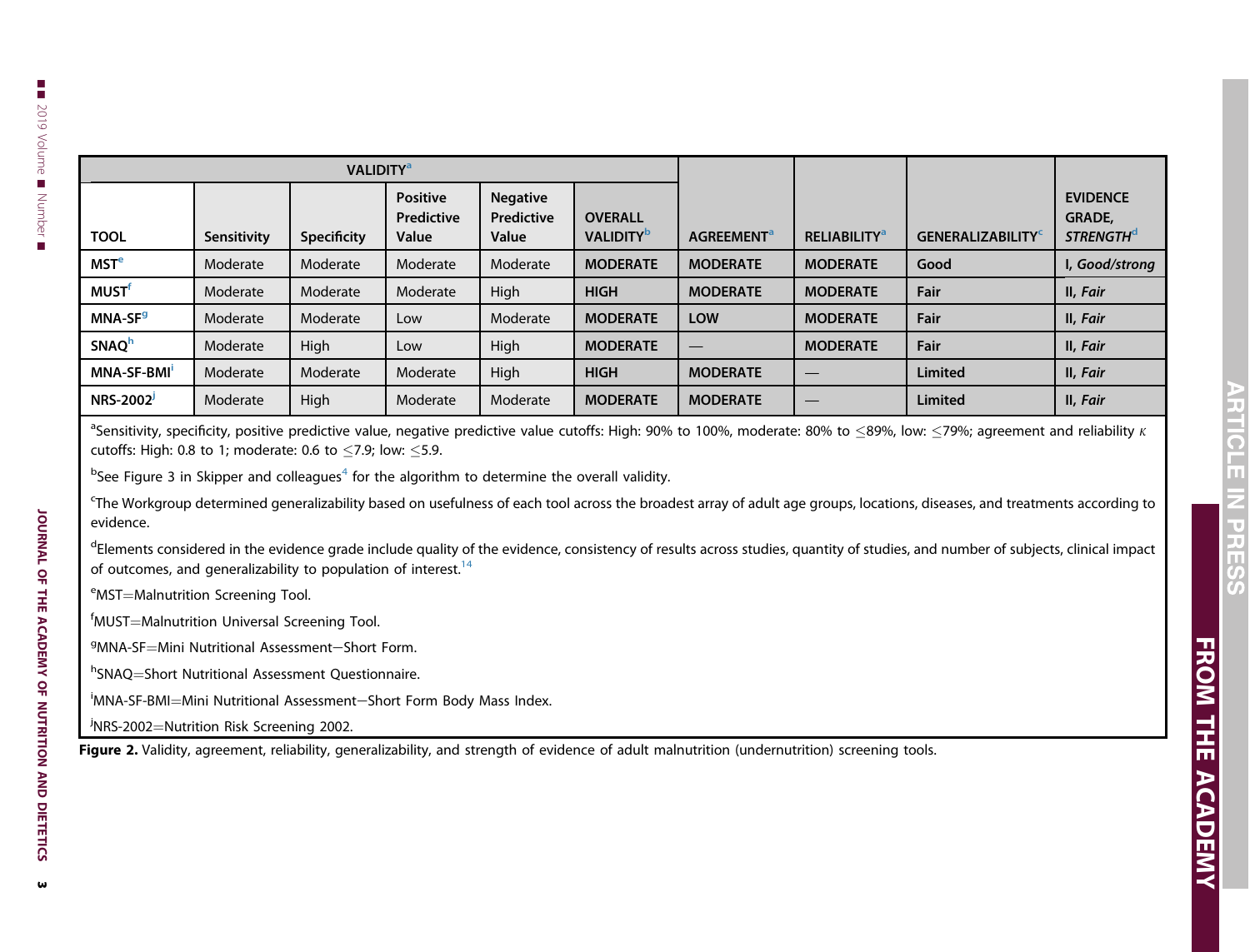| <b>VALIDITY<sup>a</sup></b> |             |             |                                        |                                        |                                                |                               |                                 |                                      |                                                          |
|-----------------------------|-------------|-------------|----------------------------------------|----------------------------------------|------------------------------------------------|-------------------------------|---------------------------------|--------------------------------------|----------------------------------------------------------|
| <b>TOOL</b>                 | Sensitivity | Specificity | <b>Positive</b><br>Predictive<br>Value | <b>Negative</b><br>Predictive<br>Value | <b>OVERALL</b><br><b>VALIDITY</b> <sup>b</sup> | <b>AGREEMENT</b> <sup>a</sup> | <b>RELIABILITY</b> <sup>a</sup> | <b>GENERALIZABILITY</b> <sup>C</sup> | <b>EVIDENCE</b><br>GRADE,<br><b>STRENGTH<sup>d</sup></b> |
| MSTe                        | Moderate    | Moderate    | Moderate                               | Moderate                               | <b>MODERATE</b>                                | <b>MODERATE</b>               | <b>MODERATE</b>                 | Good                                 | I, Good/strong                                           |
| <b>MUST<sup>f</sup></b>     | Moderate    | Moderate    | Moderate                               | High                                   | <b>HIGH</b>                                    | <b>MODERATE</b>               | <b>MODERATE</b>                 | Fair                                 | II, Fair                                                 |
| MNA-SF <sup>9</sup>         | Moderate    | Moderate    | Low                                    | Moderate                               | <b>MODERATE</b>                                | <b>LOW</b>                    | <b>MODERATE</b>                 | Fair                                 | II, Fair                                                 |
| SNAQ <sup>h</sup>           | Moderate    | High        | Low                                    | High                                   | <b>MODERATE</b>                                |                               | <b>MODERATE</b>                 | Fair                                 | II, Fair                                                 |
| MNA-SF-BMI                  | Moderate    | Moderate    | Moderate                               | High                                   | <b>HIGH</b>                                    | <b>MODERATE</b>               | –                               | Limited                              | II, Fair                                                 |
| NRS-2002                    | Moderate    | High        | Moderate                               | Moderate                               | <b>MODERATE</b>                                | <b>MODERATE</b>               | –                               | Limited                              | II, Fair                                                 |

 $^{\rm a}$ Sensitivity, specificity, positive predictive value, negative predictive value cutoffs: High: 90% to 100%, moderate: 80% to  $\leq$ 89%, low:  $\leq$ 79%; agreement and reliability  $\kappa$ cutoffs: High: 0.8 to 1; moderate: 0.6 to  $\leq$ 7.9; low:  $\leq$ 5.9.

 $b$ See Figure 3 in Skipper and colleagues<sup>4</sup> for the algorithm to determine the overall validity.

<sup>c</sup>The Workgroup determined generalizability based on usefulness of each tool across the broadest array of adult age groups, locations, diseases, and treatments according to evidence.

<sup>d</sup>Elements considered in the evidence grade include quality of the evidence, consistency of results across studies, quantity of studies, and number of subjects, clinical impact of outcomes, and generalizability to population of interest. $14$ 

<sup>e</sup>MST=Malnutrition Screening Tool.

 $f$ MUST $=$ Malnutrition Universal Screening Tool.

<sup>g</sup>MNA-SF=Mini Nutritional Assessment—Short Form.

<sup>h</sup>SNAQ=Short Nutritional Assessment Questionnaire.

<sup>i</sup>MNA-SF-BMI=Mini Nutritional Assessment—Short Form Body Mass Index.

<sup>j</sup>NRS-2002=Nutrition Risk Screening 2002.

Figure 2. Validity, agreement, reliability, generalizability, and strength of evidence of adult malnutrition (undernutrition) screening tools.

JOURNAL OF THE ACADEMY OF NUTRITION AND DIETETICS

JOURNAL OF THE ACADEMY OF NUTRITION AND DIETETICS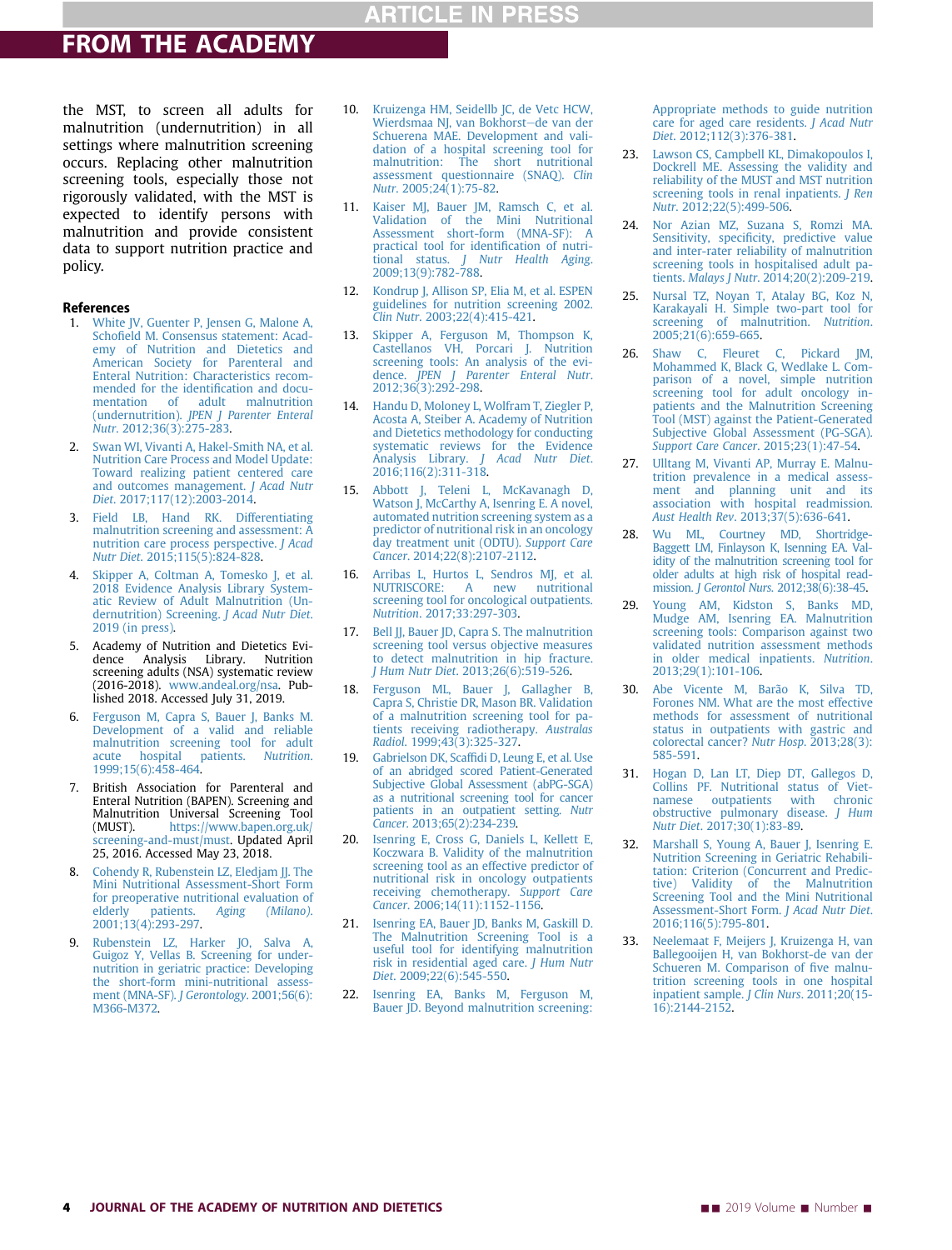# FROM THE ACADEMY

the MST, to screen all adults for malnutrition (undernutrition) in all settings where malnutrition screening occurs. Replacing other malnutrition screening tools, especially those not rigorously validated, with the MST is expected to identify persons with malnutrition and provide consistent data to support nutrition practice and policy.

### References

- 1. White JV, Guenter P, Jensen G, Malone A, Schofield M. Consensus statement: Academy of Nutrition and Dietetics and American Society for Parenteral and Enteral Nutrition: Characteristics recommended for the identification and documentation of adult malnutrition (undernutrition). JPEN J Parenter Enteral Nutr. 2012;36(3):275-283.
- 2. Swan WI, Vivanti A, Hakel-Smith NA, et al. Nutrition Care Process and Model Update: Toward realizing patient centered care and outcomes management. J Acad Nutr Diet. 2017;117(12):2003-2014.
- 3. Field LB, Hand RK. Differentiating malnutrition screening and assessment: A nutrition care process perspective. J Acad Nutr Diet. 2015;115(5):824-828.
- Skipper A, Coltman A, Tomesko J, et al. 2018 Evidence Analysis Library Systematic Review of Adult Malnutrition (Undernutrition) Screening. J Acad Nutr Diet. 2019 (in press).
- 5. Academy of Nutrition and Dietetics Evidence Analysis Library. Nutrition screening adults (NSA) systematic review (2016-2018). www.andeal.org/nsa. Published 2018. Accessed July 31, 2019.
- 6. Ferguson M, Capra S, Bauer J, Banks M. Development of a valid and reliable malnutrition screening tool for adult acute hospital patients. Nutrition. 1999;15(6):458-464.
- 7. British Association for Parenteral and Enteral Nutrition (BAPEN). Screening and Malnutrition Universal Screening Tool (MUST). https://www.bapen.org.uk/ screening-and-must/must. Updated April 25, 2016. Accessed May 23, 2018.
- 8. Cohendy R, Rubenstein LZ, Eledjam JJ. The Mini Nutritional Assessment-Short Form for preoperative nutritional evaluation of<br>elderly patients. Aging (Milano). (Milano). 2001;13(4):293-297.
- 9. Rubenstein LZ, Harker JO, Salva A, Guigoz Y, Vellas B. Screening for undernutrition in geriatric practice: Developing the short-form mini-nutritional assessment (MNA-SF). J Gerontology. 2001;56(6): M366-M372.
- 10. Kruizenga HM, Seidellb JC, de Vetc HCW, Wierdsmaa NJ, van Bokhorst-de van der Schuerena MAE. Development and validation of a hospital screening tool for malnutrition: The short nutritional assessment questionnaire (SNAQ). Clin Nutr. 2005;24(1):75-82.
- 11. Kaiser MJ, Bauer JM, Ramsch C, et al. Validation of the Mini Nutritional Assessment short-form (MNA-SF): A practical tool for identification of nutritional status. *I Nutr Health Aging* J Nutr Health Aging. 2009;13(9):782-788.
- 12. Kondrup J, Allison SP, Elia M, et al. ESPEN guidelines for nutrition screening 2002. Clin Nutr. 2003;22(4):415-421.
- 13. Skipper A, Ferguson M, Thompson K, Castellanos VH, Porcari J. Nutrition screening tools: An analysis of the evidence. JPEN J Parenter Enteral Nutr. 2012;36(3):292-298.
- 14. Handu D, Moloney L, Wolfram T, Ziegler P, Acosta A, Steiber A. Academy of Nutrition and Dietetics methodology for conducting systematic reviews for the Evidence<br>Analysis Library. J Acad Nutr Diet. J Acad Nutr Diet. 2016;116(2):311-318.
- 15. Abbott J, Teleni L, McKavanagh D, Watson J, McCarthy A, Isenring E. A novel, automated nutrition screening system as a predictor of nutritional risk in an oncology day treatment unit (ODTU). Support Care Cancer. 2014;22(8):2107-2112.
- 16. Arribas L, Hurtos L, Sendros MJ, et al. NUTRISCORE: A new nutritional screening tool for oncological outpatients. Nutrition. 2017;33:297-303.
- 17. Bell JJ, Bauer JD, Capra S. The malnutrition screening tool versus objective measures to detect malnutrition in hip fracture. J Hum Nutr Diet. 2013;26(6):519-526.
- 18. Ferguson ML, Bauer J, Gallagher B, Capra S, Christie DR, Mason BR. Validation of a malnutrition screening tool for patients receiving radiotherapy. Australas Radiol. 1999;43(3):325-327.
- 19. Gabrielson DK, Scaffidi D, Leung E, et al. Use of an abridged scored Patient-Generated Subjective Global Assessment (abPG-SGA) as a nutritional screening tool for cancer patients in an outpatient setting. Nutr Cancer. 2013;65(2):234-239.
- 20. Isenring E, Cross G, Daniels L, Kellett E, Koczwara B. Validity of the malnutrition screening tool as an effective predictor of nutritional risk in oncology outpatients receiving chemotherapy. Support Care Cancer. 2006;14(11):1152-1156.
- 21. Isenring EA, Bauer JD, Banks M, Gaskill D. The Malnutrition Screening Tool is a useful tool for identifying malnutrition risk in residential aged care. J Hum Nutr Diet. 2009;22(6):545-550.
- 22. Isenring EA, Banks M, Ferguson M, Bauer JD. Beyond malnutrition screening:

Appropriate methods to guide nutrition care for aged care residents. J Acad Nutr Diet. 2012;112(3):376-381.

- 23. Lawson CS, Campbell KL, Dimakopoulos I, Dockrell ME. Assessing the validity and reliability of the MUST and MST nutrition screening tools in renal inpatients. *J Ren* Nutr. 2012;22(5):499-506.
- 24. Nor Azian MZ, Suzana S, Romzi MA. Sensitivity, specificity, predictive value and inter-rater reliability of malnutrition screening tools in hospitalised adult patients. Malays J Nutr. 2014;20(2):209-219.
- 25. Nursal TZ, Noyan T, Atalay BG, Koz N, Karakayali H. Simple two-part tool for screening of malnutrition. Nutrition. 2005;21(6):659-665.
- 26. Shaw C, Fleuret C, Pickard JM, Mohammed K, Black G, Wedlake L. Comparison of a novel, simple nutrition screening tool for adult oncology inpatients and the Malnutrition Screening Tool (MST) against the Patient-Generated Subjective Global Assessment (PG-SGA). Support Care Cancer. 2015;23(1):47-54.
- 27. Ulltang M, Vivanti AP, Murray E. Malnutrition prevalence in a medical assessment and planning unit and its association with hospital readmission. Aust Health Rev. 2013;37(5):636-641.
- 28. Wu ML, Courtney MD, Shortridge-Baggett LM, Finlayson K, Isenning EA. Validity of the malnutrition screening tool for older adults at high risk of hospital readmission. J Gerontol Nurs. 2012;38(6):38-45.
- 29. Young AM, Kidston S, Banks MD, Mudge AM, Isenring EA. Malnutrition screening tools: Comparison against two validated nutrition assessment methods in older medical inpatients. Nutrition. 2013;29(1):101-106.
- 30. Abe Vicente M, Barão K, Silva TD, Forones NM. What are the most effective methods for assessment of nutritional status in outpatients with gastric and colorectal cancer? Nutr Hosp. 2013;28(3): 585-591.
- 31. Hogan D, Lan LT, Diep DT, Gallegos D, Collins PF. Nutritional status of Vietoutpatients obstructive pulmonary disease. J Hum Nutr Diet. 2017;30(1):83-89.
- 32. Marshall S, Young A, Bauer J, Isenring E. Nutrition Screening in Geriatric Rehabilitation: Criterion (Concurrent and Predictive) Validity of the Malnutrition Screening Tool and the Mini Nutritional Assessment-Short Form. J Acad Nutr Diet. 2016;116(5):795-801.
- 33. Neelemaat F, Meijers J, Kruizenga H, van Ballegooijen H, van Bokhorst-de van der Schueren M. Comparison of five malnutrition screening tools in one hospital inpatient sample. J Clin Nurs. 2011;20(15- 16):2144-2152.